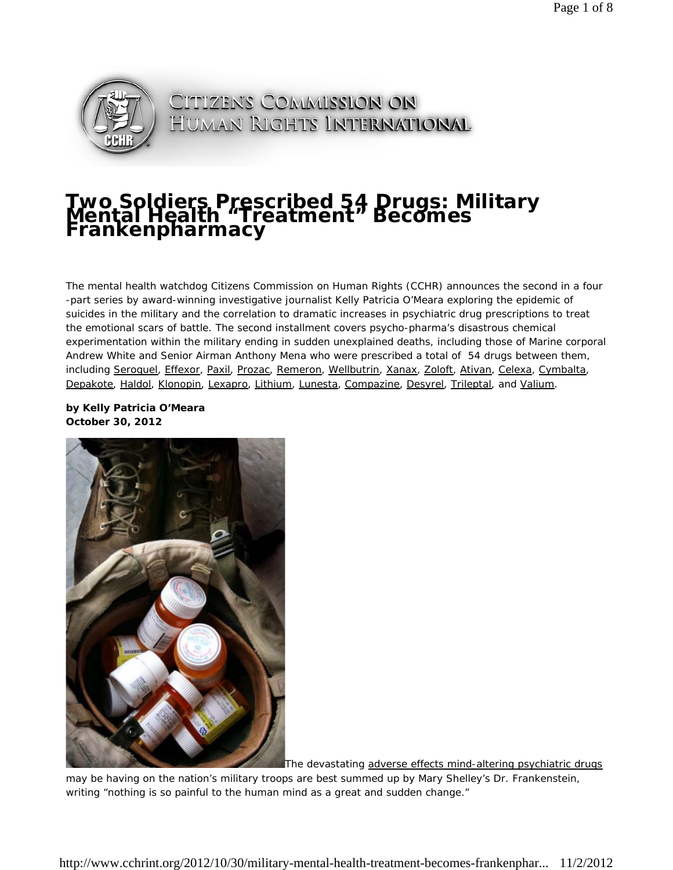

CITIZENS COMMISSION ON HUMAN RIGHTS INTERNATIONAL

# **Two Soldiers Prescribed 54 Drugs: Military<br>Mental Health "Treatment" Becomes<br>Frankenpharmacy**

*The mental health watchdog Citizens Commission on Human Rights (CCHR) announces the second in a four* -part series by award-winning investigative journalist Kelly Patricia O'Meara exploring the epidemic of *suicides in the military and the correlation to dramatic increases in psychiatric drug prescriptions to treat the emotional scars of battle. The second installment covers psycho-pharma's disastrous chemical experimentation within the military ending in sudden unexplained deaths, including those of Marine corporal Andrew White and Senior Airman Anthony Mena who were prescribed a total of 54 drugs between them, including Seroquel, Effexor, Paxil, Prozac, Remeron, Wellbutrin, Xanax, Zoloft, Ativan, Celexa, Cymbalta, Depakote, Haldol, Klonopin, Lexapro, Lithium, Lunesta, Compazine, Desyrel, Trileptal, and Valium.*

#### **by Kelly Patricia O'Meara October 30, 2012**



The devastating adverse effects mind-altering psychiatric drugs

may be having on the nation's military troops are best summed up by Mary Shelley's Dr. Frankenstein, writing "nothing is so painful to the human mind as a great and sudden change."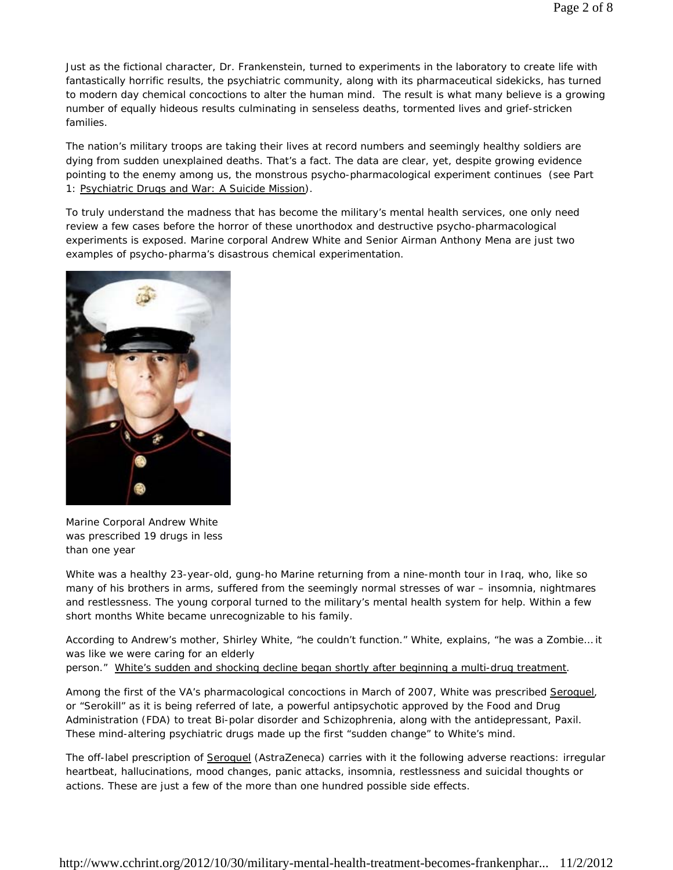Just as the fictional character, Dr. Frankenstein, turned to experiments in the laboratory to create life with fantastically horrific results, the psychiatric community, along with its pharmaceutical sidekicks, has turned to modern day chemical concoctions to alter the human mind. The result is what many believe is a growing number of equally hideous results culminating in senseless deaths, tormented lives and grief-stricken families.

The nation's military troops are taking their lives at record numbers and seemingly healthy soldiers are dying from sudden unexplained deaths. That's a fact. The data are clear, yet, despite growing evidence pointing to the enemy among us, the monstrous psycho-pharmacological experiment continues (see Part 1: Psychiatric Drugs and War: A Suicide Mission).

To truly understand the madness that has become the military's mental health services, one only need review a few cases before the horror of these unorthodox and destructive psycho-pharmacological experiments is exposed. Marine corporal Andrew White and Senior Airman Anthony Mena are just two examples of psycho-pharma's disastrous chemical experimentation.



Marine Corporal Andrew White was prescribed 19 drugs in less than one year

White was a healthy 23-year-old, gung-ho Marine returning from a nine-month tour in Iraq, who, like so many of his brothers in arms, suffered from the seemingly normal stresses of war – insomnia, nightmares and restlessness. The young corporal turned to the military's mental health system for help. Within a few short months White became unrecognizable to his family.

According to Andrew's mother, Shirley White, "he couldn't function." White, explains, "he was a Zombie… it was like we were caring for an elderly

person." White's sudden and shocking decline began shortly after beginning a multi-drug treatment.

Among the first of the VA's pharmacological concoctions in March of 2007, White was prescribed Seroquel, or "Serokill" as it is being referred of late, a powerful antipsychotic approved by the Food and Drug Administration (FDA) to treat Bi-polar disorder and Schizophrenia, along with the antidepressant, Paxil. These mind-altering psychiatric drugs made up the first "sudden change" to White's mind.

The off-label prescription of Seroquel (AstraZeneca) carries with it the following adverse reactions: irregular heartbeat, hallucinations, mood changes, panic attacks, insomnia, restlessness and suicidal thoughts or actions. These are just a few of the more than one hundred possible side effects.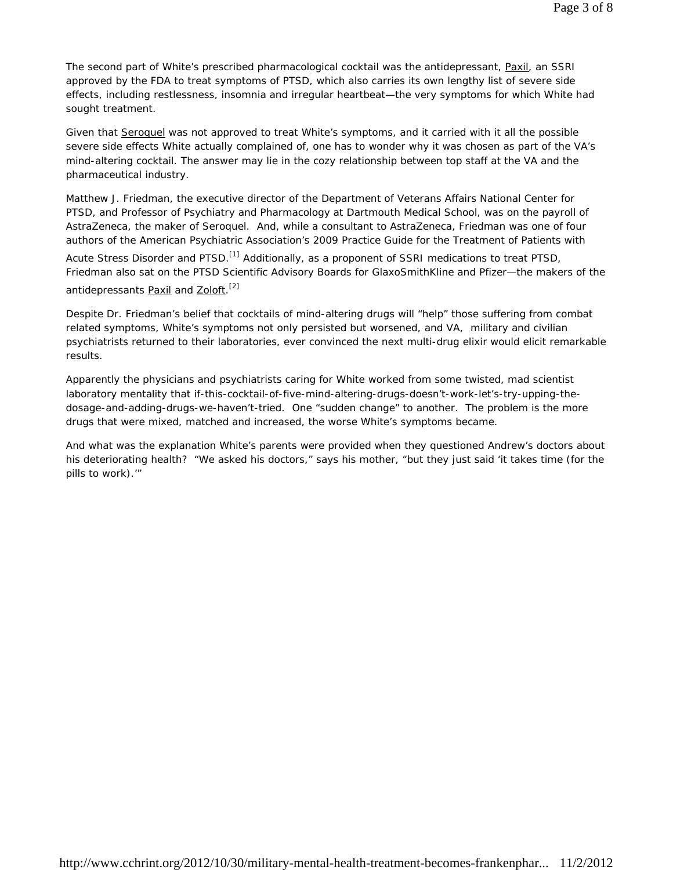The second part of White's prescribed pharmacological cocktail was the antidepressant, Paxil, an SSRI approved by the FDA to treat symptoms of PTSD, which also carries its own lengthy list of severe side effects, including restlessness, insomnia and irregular heartbeat—the very symptoms for which White had sought treatment.

Given that Seroquel was not approved to treat White's symptoms, and it carried with it all the possible severe side effects White actually complained of, one has to wonder why it was chosen as part of the VA's mind-altering cocktail. The answer may lie in the cozy relationship between top staff at the VA and the pharmaceutical industry.

Matthew J. Friedman, the executive director of the Department of Veterans Affairs National Center for PTSD, and Professor of Psychiatry and Pharmacology at Dartmouth Medical School, was on the payroll of AstraZeneca, the maker of Seroquel. And, while a consultant to AstraZeneca, Friedman was one of four authors of the American Psychiatric Association's 2009 Practice Guide for the Treatment of Patients with

Acute Stress Disorder and PTSD.<sup>[1]</sup> Additionally, as a proponent of SSRI medications to treat PTSD, Friedman also sat on the PTSD Scientific Advisory Boards for GlaxoSmithKline and Pfizer—the makers of the antidepressants <u>Paxil</u> and Zoloft.<sup>[2]</sup>

Despite Dr. Friedman's belief that cocktails of mind-altering drugs will "help" those suffering from combat related symptoms, White's symptoms not only persisted but worsened, and VA, military and civilian psychiatrists returned to their laboratories, ever convinced the next multi-drug elixir would elicit remarkable results.

Apparently the physicians and psychiatrists caring for White worked from some twisted, mad scientist laboratory mentality that if-this-cocktail-of-five-mind-altering-drugs-doesn't-work-let's-try-upping-thedosage-and-adding-drugs-we-haven't-tried. One "sudden change" to another. The problem is the more drugs that were mixed, matched and increased, the worse White's symptoms became.

And what was the explanation White's parents were provided when they questioned Andrew's doctors about his deteriorating health? "We asked his doctors," says his mother, "but they just said 'it takes time (for the pills to work).'"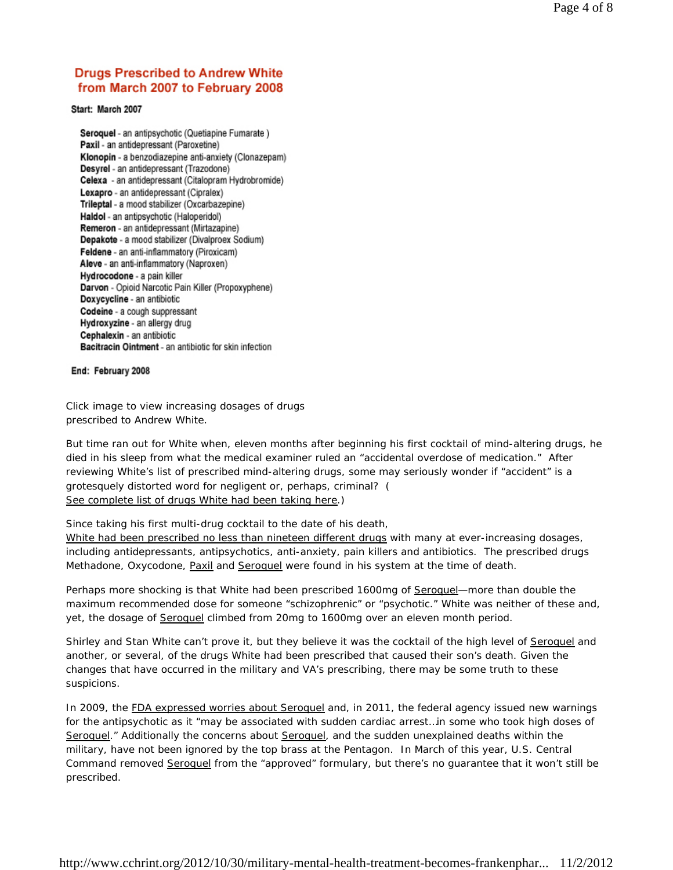## **Drugs Prescribed to Andrew White** from March 2007 to February 2008

Start: March 2007

Seroquel - an antipsychotic (Quetiapine Fumarate) Paxil - an antidepressant (Paroxetine) Klonopin - a benzodiazepine anti-anxiety (Clonazepam) Desyrel - an antidepressant (Trazodone) Celexa - an antidepressant (Citalopram Hydrobromide) Lexapro - an antidepressant (Cipralex) Trileptal - a mood stabilizer (Oxcarbazepine) Haldol - an antipsychotic (Haloperidol) Remeron - an antidepressant (Mirtazapine) Depakote - a mood stabilizer (Divalproex Sodium) Feldene - an anti-inflammatory (Piroxicam) Aleve - an anti-inflammatory (Naproxen) Hydrocodone - a pain killer Darvon - Opioid Narcotic Pain Killer (Propoxyphene) Doxycycline - an antibiotic Codeine - a cough suppressant Hydroxyzine - an allergy drug Cephalexin - an antibiotic Bacitracin Ointment - an antibiotic for skin infection

#### End: February 2008

Click image to view increasing dosages of drugs prescribed to Andrew White.

But time ran out for White when, eleven months after beginning his first cocktail of mind-altering drugs, he died in his sleep from what the medical examiner ruled an "accidental overdose of medication." After reviewing White's list of prescribed mind-altering drugs, some may seriously wonder if "accident" is a grotesquely distorted word for negligent or, perhaps, criminal? ( See complete list of drugs White had been taking here.)

Since taking his first multi-drug cocktail to the date of his death,

White had been prescribed no less than nineteen different drugs with many at ever-increasing dosages, including antidepressants, antipsychotics, anti-anxiety, pain killers and antibiotics. The prescribed drugs Methadone, Oxycodone, Paxil and Seroquel were found in his system at the time of death.

Perhaps more shocking is that White had been prescribed 1600mg of Seroquel-more than double the maximum recommended dose for someone "schizophrenic" or "psychotic." White was neither of these and, yet, the dosage of Seroquel climbed from 20mg to 1600mg over an eleven month period.

Shirley and Stan White can't prove it, but they believe it was the cocktail of the high level of Seroquel and another, or several, of the drugs White had been prescribed that caused their son's death. Given the changes that have occurred in the military and VA's prescribing, there may be some truth to these suspicions.

In 2009, the FDA expressed worries about Seroquel and, in 2011, the federal agency issued new warnings for the antipsychotic as it "may be associated with sudden cardiac arrest…in some who took high doses of Seroquel." Additionally the concerns about Seroquel, and the sudden unexplained deaths within the military, have not been ignored by the top brass at the Pentagon. In March of this year, U.S. Central Command removed Seroquel from the "approved" formulary, but there's no guarantee that it won't still be prescribed.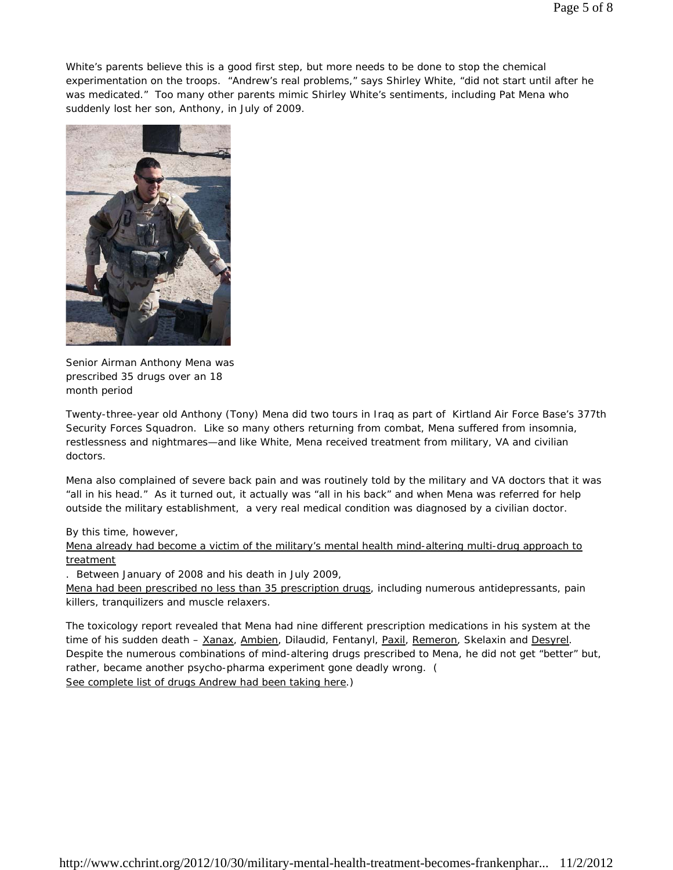White's parents believe this is a good first step, but more needs to be done to stop the chemical experimentation on the troops. "Andrew's real problems," says Shirley White, "did not start until after he was medicated." Too many other parents mimic Shirley White's sentiments, including Pat Mena who suddenly lost her son, Anthony, in July of 2009.



Senior Airman Anthony Mena was prescribed 35 drugs over an 18 month period

Twenty-three-year old Anthony (Tony) Mena did two tours in Iraq as part of Kirtland Air Force Base's 377th Security Forces Squadron. Like so many others returning from combat, Mena suffered from insomnia, restlessness and nightmares—and like White, Mena received treatment from military, VA and civilian doctors.

Mena also complained of severe back pain and was routinely told by the military and VA doctors that it was "all in his head." As it turned out, it actually was "all in his back" and when Mena was referred for help outside the military establishment, a very real medical condition was diagnosed by a civilian doctor.

#### By this time, however,

Mena already had become a victim of the military's mental health mind-altering multi-drug approach to treatment

. Between January of 2008 and his death in July 2009,

Mena had been prescribed no less than 35 prescription drugs, including numerous antidepressants, pain killers, tranquilizers and muscle relaxers.

The toxicology report revealed that Mena had nine different prescription medications in his system at the time of his sudden death – Xanax, Ambien, Dilaudid, Fentanyl, Paxil, Remeron, Skelaxin and Desyrel. Despite the numerous combinations of mind-altering drugs prescribed to Mena, he did not get "better" but, rather, became another psycho-pharma experiment gone deadly wrong. ( See complete list of drugs Andrew had been taking here.)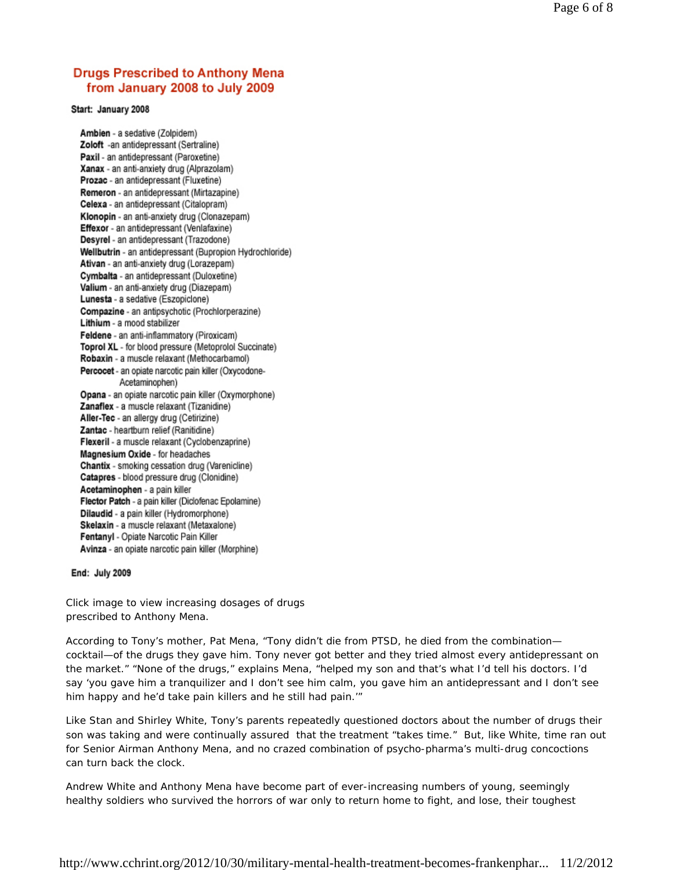## **Drugs Prescribed to Anthony Mena** from January 2008 to July 2009

Start: January 2008

Ambien - a sedative (Zolpidem) Zoloft -an antidepressant (Sertraline) Paxil - an antidepressant (Paroxetine) Xanax - an anti-anxiety drug (Alprazolam) Prozac - an antidepressant (Fluxetine) Remeron - an antidepressant (Mirtazapine) Celexa - an antidepressant (Citalopram) Klonopin - an anti-anxiety drug (Clonazepam) Effexor - an antidepressant (Venlafaxine) Desyrel - an antidepressant (Trazodone) Wellbutrin - an antidepressant (Bupropion Hydrochloride) Ativan - an anti-anxiety drug (Lorazepam) Cymbalta - an antidepressant (Duloxetine) Valium - an anti-anxiety drug (Diazepam) Lunesta - a sedative (Eszopiclone) Compazine - an antipsychotic (Prochlorperazine) Lithium - a mood stabilizer Feldene - an anti-inflammatory (Piroxicam) Toprol XL - for blood pressure (Metoprolol Succinate) Robaxin - a muscle relaxant (Methocarbamol) Percocet - an opiate narcotic pain killer (Oxycodone-Acetaminophen) Opana - an opiate narcotic pain killer (Oxymorphone) Zanaflex - a muscle relaxant (Tizanidine) Aller-Tec - an allergy drug (Cetirizine) Zantac - heartburn relief (Ranitidine) Flexeril - a muscle relaxant (Cyclobenzaprine) Magnesium Oxide - for headaches Chantix - smoking cessation drug (Varenicline) Catapres - blood pressure drug (Clonidine) Acetaminophen - a pain killer Flector Patch - a pain killer (Diclofenac Epolamine) Dilaudid - a pain killer (Hydromorphone) Skelaxin - a muscle relaxant (Metaxalone) Fentanyl - Opiate Narcotic Pain Killer Avinza - an opiate narcotic pain killer (Morphine)

End: July 2009

Click image to view increasing dosages of drugs prescribed to Anthony Mena.

According to Tony's mother, Pat Mena, "Tony didn't die from PTSD, he died from the combination cocktail—of the drugs they gave him. Tony never got better and they tried almost every antidepressant on the market." "None of the drugs," explains Mena, "helped my son and that's what I'd tell his doctors. I'd say 'you gave him a tranquilizer and I don't see him calm, you gave him an antidepressant and I don't see him happy and he'd take pain killers and he still had pain.'"

Like Stan and Shirley White, Tony's parents repeatedly questioned doctors about the number of drugs their son was taking and were continually assured that the treatment "takes time." But, like White, time ran out for Senior Airman Anthony Mena, and no crazed combination of psycho-pharma's multi-drug concoctions can turn back the clock.

Andrew White and Anthony Mena have become part of ever-increasing numbers of young, seemingly healthy soldiers who survived the horrors of war only to return home to fight, and lose, their toughest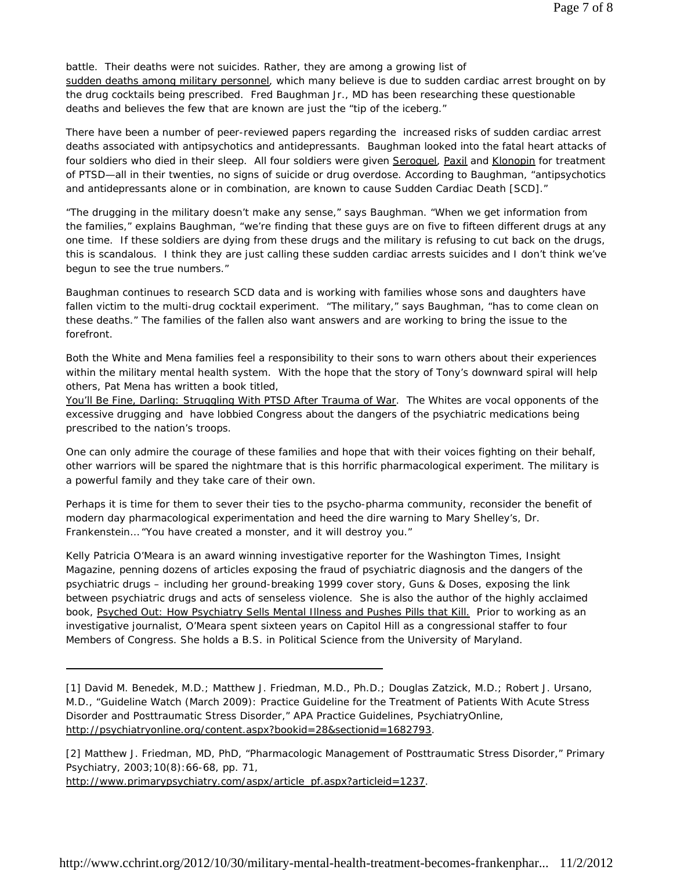battle. Their deaths were not suicides. Rather, they are among a growing list of sudden deaths among military personnel, which many believe is due to sudden cardiac arrest brought on by the drug cocktails being prescribed. Fred Baughman Jr., MD has been researching these questionable deaths and believes the few that are known are just the "tip of the iceberg."

There have been a number of peer-reviewed papers regarding the increased risks of sudden cardiac arrest deaths associated with antipsychotics and antidepressants. Baughman looked into the fatal heart attacks of four soldiers who died in their sleep. All four soldiers were given Seroquel, Paxil and Klonopin for treatment of PTSD—all in their twenties, no signs of suicide or drug overdose. According to Baughman, "antipsychotics and antidepressants alone or in combination, are known to cause Sudden Cardiac Death [SCD]."

"The drugging in the military doesn't make any sense," says Baughman. "When we get information from the families," explains Baughman, "we're finding that these guys are on five to fifteen different drugs at any one time. If these soldiers are dying from these drugs and the military is refusing to cut back on the drugs, this is scandalous. I think they are just calling these sudden cardiac arrests suicides and I don't think we've begun to see the true numbers."

Baughman continues to research SCD data and is working with families whose sons and daughters have fallen victim to the multi-drug cocktail experiment. "The military," says Baughman, "has to come clean on these deaths." The families of the fallen also want answers and are working to bring the issue to the forefront.

Both the White and Mena families feel a responsibility to their sons to warn others about their experiences within the military mental health system. With the hope that the story of Tony's downward spiral will help others, Pat Mena has written a book titled,

*You'll Be Fine, Darling: Struggling With PTSD After Trauma of War.* The Whites are vocal opponents of the excessive drugging and have lobbied Congress about the dangers of the psychiatric medications being prescribed to the nation's troops.

One can only admire the courage of these families and hope that with their voices fighting on their behalf, other warriors will be spared the nightmare that is this horrific pharmacological experiment. The military is a powerful family and they take care of their own.

Perhaps it is time for them to sever their ties to the psycho-pharma community, reconsider the benefit of modern day pharmacological experimentation and heed the dire warning to Mary Shelley's, Dr. Frankenstein… "You have created a monster, and it will destroy you."

*Kelly Patricia O'Meara is an award winning investigative reporter for the Washington Times, Insight Magazine, penning dozens of articles exposing the fraud of psychiatric diagnosis and the dangers of the psychiatric drugs – including her ground-breaking 1999 cover story, Guns & Doses, exposing the link between psychiatric drugs and acts of senseless violence. She is also the author of the highly acclaimed book, Psyched Out: How Psychiatry Sells Mental Illness and Pushes Pills that Kill. Prior to working as an investigative journalist, O'Meara spent sixteen years on Capitol Hill as a congressional staffer to four Members of Congress. She holds a B.S. in Political Science from the University of Maryland.*

[1] David M. Benedek, M.D.; Matthew J. Friedman, M.D., Ph.D.; Douglas Zatzick, M.D.; Robert J. Ursano, M.D., "Guideline Watch (March 2009): Practice Guideline for the Treatment of Patients With Acute Stress Disorder and Posttraumatic Stress Disorder," APA Practice Guidelines, PsychiatryOnline, http://psychiatryonline.org/content.aspx?bookid=28&sectionid=1682793.

l,

[2] Matthew J. Friedman, MD, PhD, "Pharmacologic Management of Posttraumatic Stress Disorder," Primary Psychiatry, 2003;10(8):66-68, pp. 71, http://www.primarypsychiatry.com/aspx/article\_pf.aspx?articleid=1237.